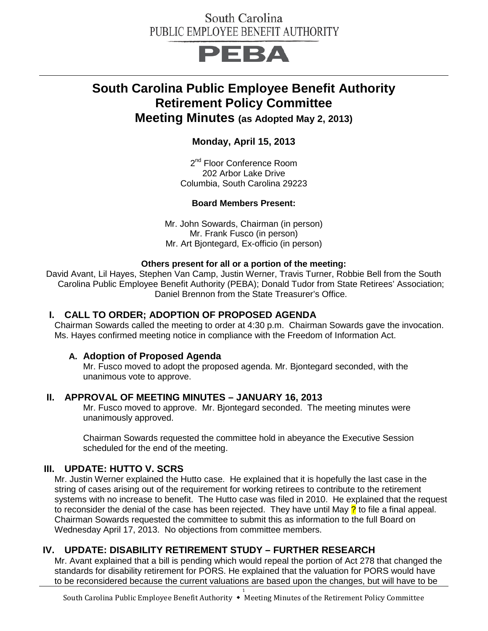# South Carolina PUBLIC EMPLOYEE BENEFIT AUTHORITY

# PEBA

# **South Carolina Public Employee Benefit Authority Retirement Policy Committee Meeting Minutes (as Adopted May 2, 2013)**

**Monday, April 15, 2013**

2<sup>nd</sup> Floor Conference Room 202 Arbor Lake Drive Columbia, South Carolina 29223

#### **Board Members Present:**

Mr. John Sowards, Chairman (in person) Mr. Frank Fusco (in person) Mr. Art Bjontegard, Ex-officio (in person)

#### **Others present for all or a portion of the meeting:**

David Avant, Lil Hayes, Stephen Van Camp, Justin Werner, Travis Turner, Robbie Bell from the South Carolina Public Employee Benefit Authority (PEBA); Donald Tudor from State Retirees' Association; Daniel Brennon from the State Treasurer's Office.

#### **I. CALL TO ORDER; ADOPTION OF PROPOSED AGENDA**

Chairman Sowards called the meeting to order at 4:30 p.m. Chairman Sowards gave the invocation. Ms. Hayes confirmed meeting notice in compliance with the Freedom of Information Act.

#### **A. Adoption of Proposed Agenda**

Mr. Fusco moved to adopt the proposed agenda. Mr. Bjontegard seconded, with the unanimous vote to approve.

### **II. APPROVAL OF MEETING MINUTES – JANUARY 16, 2013**

Mr. Fusco moved to approve. Mr. Bjontegard seconded. The meeting minutes were unanimously approved.

Chairman Sowards requested the committee hold in abeyance the Executive Session scheduled for the end of the meeting.

### **III. UPDATE: HUTTO V. SCRS**

Mr. Justin Werner explained the Hutto case. He explained that it is hopefully the last case in the string of cases arising out of the requirement for working retirees to contribute to the retirement systems with no increase to benefit. The Hutto case was filed in 2010. He explained that the request to reconsider the denial of the case has been rejected. They have until May  $\frac{1}{2}$  to file a final appeal. Chairman Sowards requested the committee to submit this as information to the full Board on Wednesday April 17, 2013. No objections from committee members.

### **IV. UPDATE: DISABILITY RETIREMENT STUDY – FURTHER RESEARCH**

Mr. Avant explained that a bill is pending which would repeal the portion of Act 278 that changed the standards for disability retirement for PORS. He explained that the valuation for PORS would have to be reconsidered because the current valuations are based upon the changes, but will have to be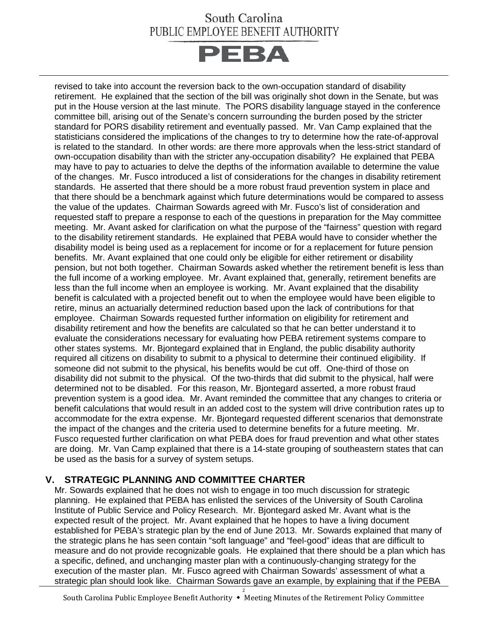# South Carolina PUBLIC EMPLOYEE BENEFIT AUTHORITY



revised to take into account the reversion back to the own-occupation standard of disability retirement. He explained that the section of the bill was originally shot down in the Senate, but was put in the House version at the last minute. The PORS disability language stayed in the conference committee bill, arising out of the Senate's concern surrounding the burden posed by the stricter standard for PORS disability retirement and eventually passed. Mr. Van Camp explained that the statisticians considered the implications of the changes to try to determine how the rate-of-approval is related to the standard. In other words: are there more approvals when the less-strict standard of own-occupation disability than with the stricter any-occupation disability? He explained that PEBA may have to pay to actuaries to delve the depths of the information available to determine the value of the changes. Mr. Fusco introduced a list of considerations for the changes in disability retirement standards. He asserted that there should be a more robust fraud prevention system in place and that there should be a benchmark against which future determinations would be compared to assess the value of the updates. Chairman Sowards agreed with Mr. Fusco's list of consideration and requested staff to prepare a response to each of the questions in preparation for the May committee meeting. Mr. Avant asked for clarification on what the purpose of the "fairness" question with regard to the disability retirement standards. He explained that PEBA would have to consider whether the disability model is being used as a replacement for income or for a replacement for future pension benefits. Mr. Avant explained that one could only be eligible for either retirement or disability pension, but not both together. Chairman Sowards asked whether the retirement benefit is less than the full income of a working employee. Mr. Avant explained that, generally, retirement benefits are less than the full income when an employee is working. Mr. Avant explained that the disability benefit is calculated with a projected benefit out to when the employee would have been eligible to retire, minus an actuarially determined reduction based upon the lack of contributions for that employee. Chairman Sowards requested further information on eligibility for retirement and disability retirement and how the benefits are calculated so that he can better understand it to evaluate the considerations necessary for evaluating how PEBA retirement systems compare to other states systems. Mr. Bjontegard explained that in England, the public disability authority required all citizens on disability to submit to a physical to determine their continued eligibility. If someone did not submit to the physical, his benefits would be cut off. One-third of those on disability did not submit to the physical. Of the two-thirds that did submit to the physical, half were determined not to be disabled. For this reason, Mr. Bjontegard asserted, a more robust fraud prevention system is a good idea. Mr. Avant reminded the committee that any changes to criteria or benefit calculations that would result in an added cost to the system will drive contribution rates up to accommodate for the extra expense. Mr. Biontegard requested different scenarios that demonstrate the impact of the changes and the criteria used to determine benefits for a future meeting. Mr. Fusco requested further clarification on what PEBA does for fraud prevention and what other states are doing. Mr. Van Camp explained that there is a 14-state grouping of southeastern states that can be used as the basis for a survey of system setups.

## **V. STRATEGIC PLANNING AND COMMITTEE CHARTER**

Mr. Sowards explained that he does not wish to engage in too much discussion for strategic planning. He explained that PEBA has enlisted the services of the University of South Carolina Institute of Public Service and Policy Research. Mr. Bjontegard asked Mr. Avant what is the expected result of the project. Mr. Avant explained that he hopes to have a living document established for PEBA's strategic plan by the end of June 2013. Mr. Sowards explained that many of the strategic plans he has seen contain "soft language" and "feel-good" ideas that are difficult to measure and do not provide recognizable goals. He explained that there should be a plan which has a specific, defined, and unchanging master plan with a continuously-changing strategy for the execution of the master plan. Mr. Fusco agreed with Chairman Sowards' assessment of what a strategic plan should look like. Chairman Sowards gave an example, by explaining that if the PEBA